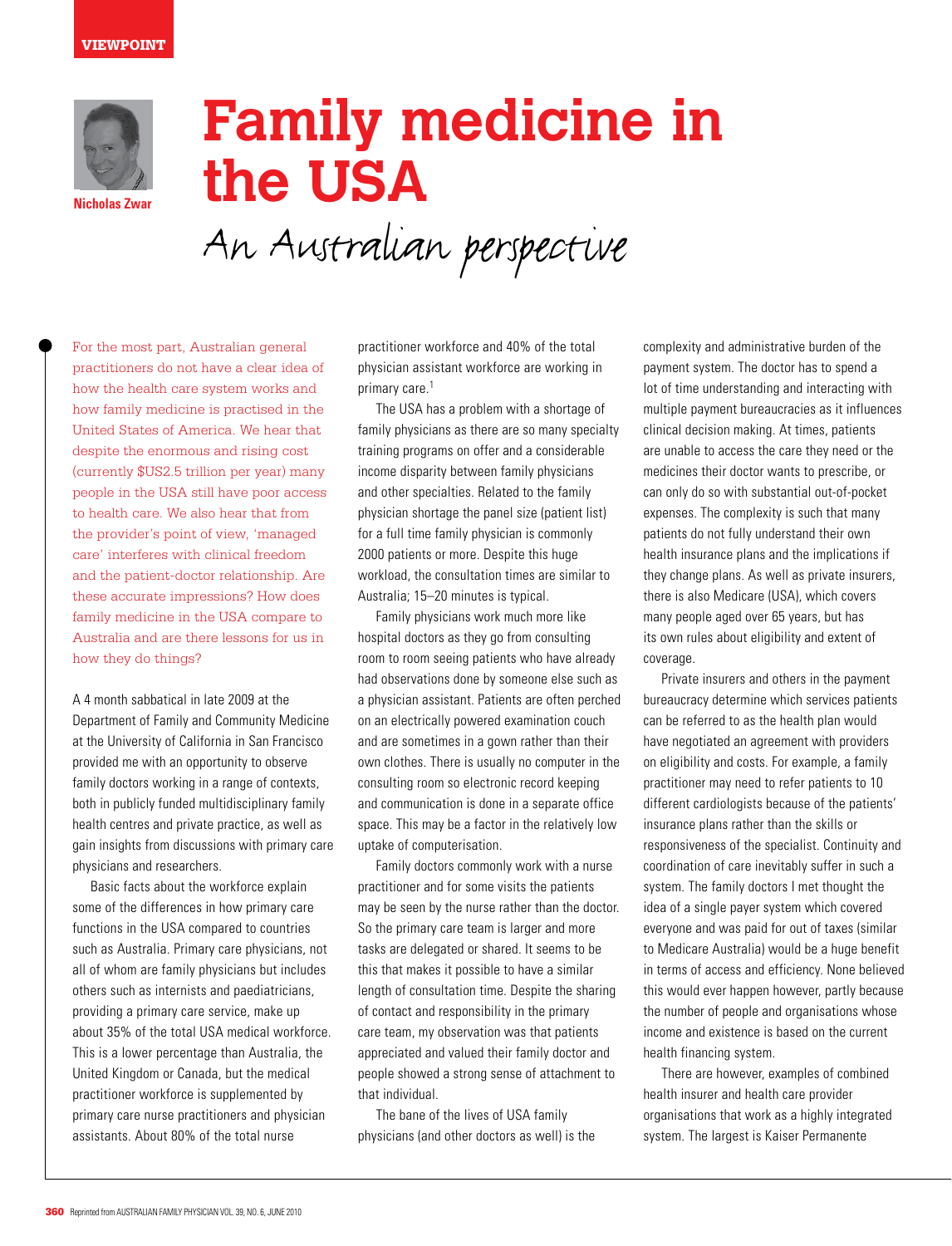

**Nicholas Zwar**

## **Family medicine in the USA**

An Australian perspective

For the most part, Australian general practitioners do not have a clear idea of how the health care system works and how family medicine is practised in the United States of America. We hear that despite the enormous and rising cost (currently \$US2.5 trillion per year) many people in the USA still have poor access to health care. We also hear that from the provider's point of view, 'managed care' interferes with clinical freedom and the patient-doctor relationship. Are these accurate impressions? How does family medicine in the USA compare to Australia and are there lessons for us in how they do things?

A 4 month sabbatical in late 2009 at the Department of Family and Community Medicine at the University of California in San Francisco provided me with an opportunity to observe family doctors working in a range of contexts, both in publicly funded multidisciplinary family health centres and private practice, as well as gain insights from discussions with primary care physicians and researchers.

Basic facts about the workforce explain some of the differences in how primary care functions in the USA compared to countries such as Australia. Primary care physicians, not all of whom are family physicians but includes others such as internists and paediatricians, providing a primary care service, make up about 35% of the total USA medical workforce. This is a lower percentage than Australia, the United Kingdom or Canada, but the medical practitioner workforce is supplemented by primary care nurse practitioners and physician assistants. About 80% of the total nurse

practitioner workforce and 40% of the total physician assistant workforce are working in primary care.<sup>1</sup>

 The USA has a problem with a shortage of family physicians as there are so many specialty training programs on offer and a considerable income disparity between family physicians and other specialties. Related to the family physician shortage the panel size (patient list) for a full time family physician is commonly 2000 patients or more. Despite this huge workload, the consultation times are similar to Australia; 15–20 minutes is typical.

Family physicians work much more like hospital doctors as they go from consulting room to room seeing patients who have already had observations done by someone else such as a physician assistant. Patients are often perched on an electrically powered examination couch and are sometimes in a gown rather than their own clothes. There is usually no computer in the consulting room so electronic record keeping and communication is done in a separate office space. This may be a factor in the relatively low uptake of computerisation.

Family doctors commonly work with a nurse practitioner and for some visits the patients may be seen by the nurse rather than the doctor. So the primary care team is larger and more tasks are delegated or shared. It seems to be this that makes it possible to have a similar length of consultation time. Despite the sharing of contact and responsibility in the primary care team, my observation was that patients appreciated and valued their family doctor and people showed a strong sense of attachment to that individual.

 The bane of the lives of USA family physicians (and other doctors as well) is the

complexity and administrative burden of the payment system. The doctor has to spend a lot of time understanding and interacting with multiple payment bureaucracies as it influences clinical decision making. At times, patients are unable to access the care they need or the medicines their doctor wants to prescribe, or can only do so with substantial out-of-pocket expenses. The complexity is such that many patients do not fully understand their own health insurance plans and the implications if they change plans. As well as private insurers, there is also Medicare (USA), which covers many people aged over 65 years, but has its own rules about eligibility and extent of coverage.

Private insurers and others in the payment bureaucracy determine which services patients can be referred to as the health plan would have negotiated an agreement with providers on eligibility and costs. For example, a family practitioner may need to refer patients to 10 different cardiologists because of the patients' insurance plans rather than the skills or responsiveness of the specialist. Continuity and coordination of care inevitably suffer in such a system. The family doctors I met thought the idea of a single payer system which covered everyone and was paid for out of taxes (similar to Medicare Australia) would be a huge benefit in terms of access and efficiency. None believed this would ever happen however, partly because the number of people and organisations whose income and existence is based on the current health financing system.

 There are however, examples of combined health insurer and health care provider organisations that work as a highly integrated system. The largest is Kaiser Permanente